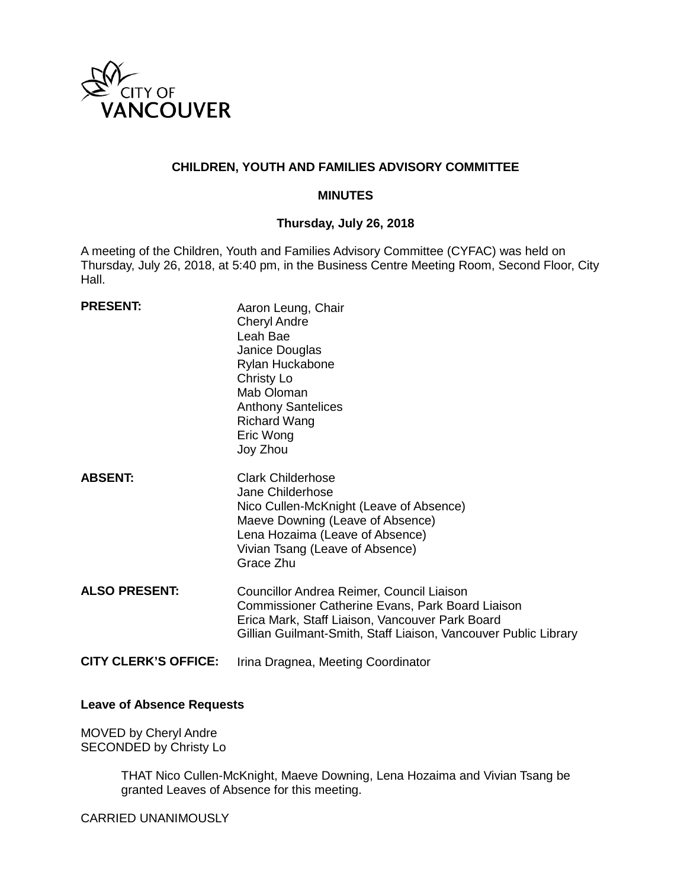

## **CHILDREN, YOUTH AND FAMILIES ADVISORY COMMITTEE**

#### **MINUTES**

# **Thursday, July 26, 2018**

A meeting of the Children, Youth and Families Advisory Committee (CYFAC) was held on Thursday, July 26, 2018, at 5:40 pm, in the Business Centre Meeting Room, Second Floor, City Hall.

| <b>PRESENT:</b>             | Aaron Leung, Chair<br><b>Cheryl Andre</b><br>Leah Bae<br>Janice Douglas<br>Rylan Huckabone<br>Christy Lo<br>Mab Oloman<br><b>Anthony Santelices</b><br><b>Richard Wang</b><br>Eric Wong<br>Joy Zhou                        |
|-----------------------------|----------------------------------------------------------------------------------------------------------------------------------------------------------------------------------------------------------------------------|
| <b>ABSENT:</b>              | <b>Clark Childerhose</b><br>Jane Childerhose<br>Nico Cullen-McKnight (Leave of Absence)<br>Maeve Downing (Leave of Absence)<br>Lena Hozaima (Leave of Absence)<br>Vivian Tsang (Leave of Absence)<br>Grace Zhu             |
| <b>ALSO PRESENT:</b>        | Councillor Andrea Reimer, Council Liaison<br><b>Commissioner Catherine Evans, Park Board Liaison</b><br>Erica Mark, Staff Liaison, Vancouver Park Board<br>Gillian Guilmant-Smith, Staff Liaison, Vancouver Public Library |
| <b>CITY CLERK'S OFFICE:</b> | Irina Dragnea, Meeting Coordinator                                                                                                                                                                                         |

## **Leave of Absence Requests**

MOVED by Cheryl Andre SECONDED by Christy Lo

> THAT Nico Cullen-McKnight, Maeve Downing, Lena Hozaima and Vivian Tsang be granted Leaves of Absence for this meeting.

CARRIED UNANIMOUSLY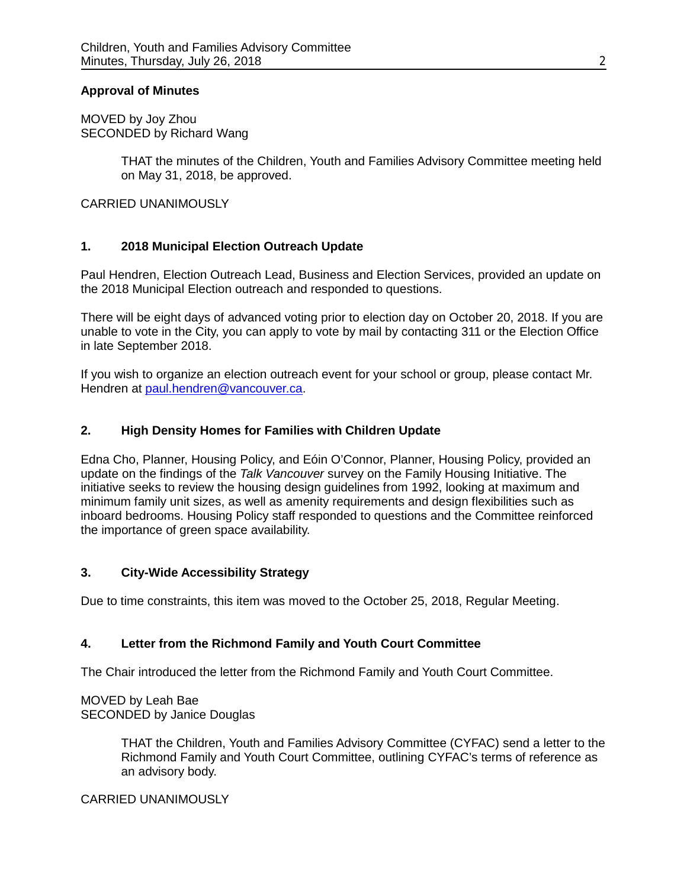### **Approval of Minutes**

MOVED by Joy Zhou SECONDED by Richard Wang

> THAT the minutes of the Children, Youth and Families Advisory Committee meeting held on May 31, 2018, be approved.

CARRIED UNANIMOUSLY

# **1. 2018 Municipal Election Outreach Update**

Paul Hendren, Election Outreach Lead, Business and Election Services, provided an update on the 2018 Municipal Election outreach and responded to questions.

There will be eight days of advanced voting prior to election day on October 20, 2018. If you are unable to vote in the City, you can apply to vote by mail by contacting 311 or the Election Office in late September 2018.

If you wish to organize an election outreach event for your school or group, please contact Mr. Hendren at [paul.hendren@vancouver.ca.](mailto:paul.hendren@vancouver.ca)

## **2. High Density Homes for Families with Children Update**

Edna Cho, Planner, Housing Policy, and Eóin O'Connor, Planner, Housing Policy, provided an update on the findings of the *Talk Vancouver* survey on the Family Housing Initiative. The initiative seeks to review the housing design guidelines from 1992, looking at maximum and minimum family unit sizes, as well as amenity requirements and design flexibilities such as inboard bedrooms. Housing Policy staff responded to questions and the Committee reinforced the importance of green space availability.

#### **3. City-Wide Accessibility Strategy**

Due to time constraints, this item was moved to the October 25, 2018, Regular Meeting.

# **4. Letter from the Richmond Family and Youth Court Committee**

The Chair introduced the letter from the Richmond Family and Youth Court Committee.

MOVED by Leah Bae SECONDED by Janice Douglas

> THAT the Children, Youth and Families Advisory Committee (CYFAC) send a letter to the Richmond Family and Youth Court Committee, outlining CYFAC's terms of reference as an advisory body.

#### CARRIED UNANIMOUSLY